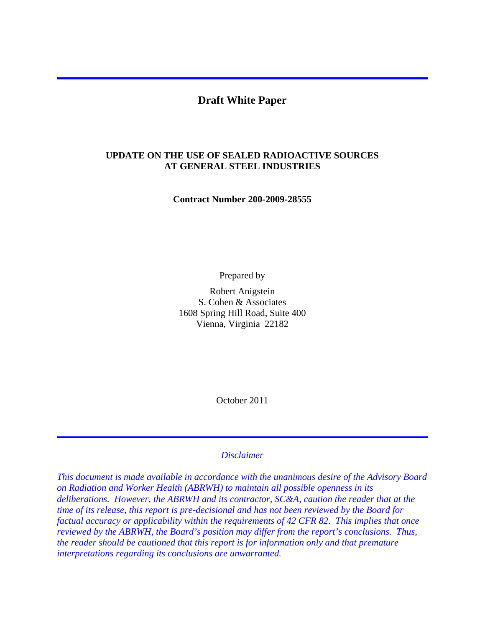## **Draft White Paper**

#### **UPDATE ON THE USE OF SEALED RADIOACTIVE SOURCES AT GENERAL STEEL INDUSTRIES**

**Contract Number 200-2009-28555** 

Prepared by

Robert Anigstein S. Cohen & Associates 1608 Spring Hill Road, Suite 400 Vienna, Virginia 22182

October 2011

#### *Disclaimer*

*This document is made available in accordance with the unanimous desire of the Advisory Board on Radiation and Worker Health (ABRWH) to maintain all possible openness in its deliberations. However, the ABRWH and its contractor, SC&A, caution the reader that at the time of its release, this report is pre-decisional and has not been reviewed by the Board for factual accuracy or applicability within the requirements of 42 CFR 82. This implies that once reviewed by the ABRWH, the Board's position may differ from the report's conclusions. Thus, the reader should be cautioned that this report is for information only and that premature interpretations regarding its conclusions are unwarranted.*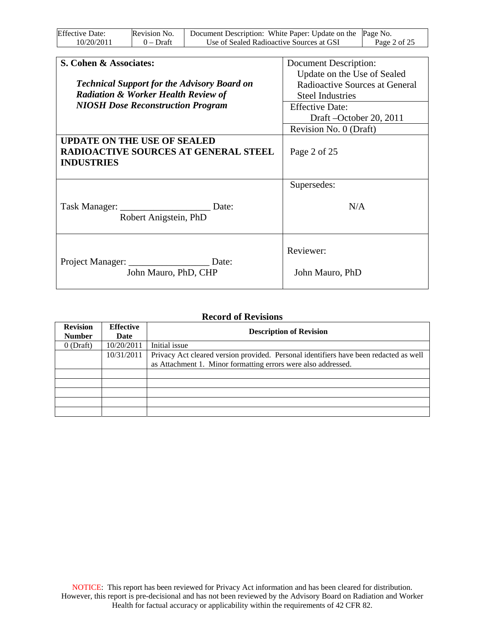| <b>Effective Date:</b> | Revision No. | Document Description: White Paper: Update on the Page No. |              |
|------------------------|--------------|-----------------------------------------------------------|--------------|
| 10/20/2011             | $0$ – Draft  | Use of Sealed Radioactive Sources at GSI                  | Page 2 of 25 |

| S. Cohen & Associates:<br><b>Technical Support for the Advisory Board on</b><br><b>Radiation &amp; Worker Health Review of</b> | <b>Document Description:</b><br>Update on the Use of Sealed<br>Radioactive Sources at General<br><b>Steel Industries</b> |
|--------------------------------------------------------------------------------------------------------------------------------|--------------------------------------------------------------------------------------------------------------------------|
| <b>NIOSH Dose Reconstruction Program</b>                                                                                       | <b>Effective Date:</b><br>Draft – October 20, 2011<br>Revision No. 0 (Draft)                                             |
| <b>UPDATE ON THE USE OF SEALED</b><br><b>RADIOACTIVE SOURCES AT GENERAL STEEL</b><br><b>INDUSTRIES</b>                         | Page 2 of 25                                                                                                             |
| Date:<br>Robert Anigstein, PhD                                                                                                 | Supersedes:<br>N/A                                                                                                       |
| Project Manager: _<br>Date:<br>John Mauro, PhD, CHP                                                                            | Reviewer:<br>John Mauro, PhD                                                                                             |

#### **Record of Revisions**

| <b>Revision</b><br><b>Number</b> | <b>Effective</b><br>Date | <b>Description of Revision</b>                                                        |  |  |  |
|----------------------------------|--------------------------|---------------------------------------------------------------------------------------|--|--|--|
| $0$ (Draft)                      | 10/20/2011               | Initial issue                                                                         |  |  |  |
|                                  | 10/31/2011               | Privacy Act cleared version provided. Personal identifiers have been redacted as well |  |  |  |
|                                  |                          | as Attachment 1. Minor formatting errors were also addressed.                         |  |  |  |
|                                  |                          |                                                                                       |  |  |  |
|                                  |                          |                                                                                       |  |  |  |
|                                  |                          |                                                                                       |  |  |  |
|                                  |                          |                                                                                       |  |  |  |
|                                  |                          |                                                                                       |  |  |  |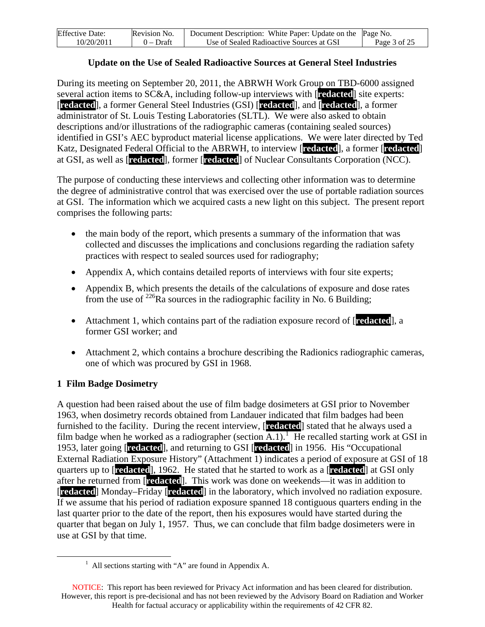| <b>Effective Date:</b> | Revision No. | Document Description: White Paper: Update on the Page No. |              |
|------------------------|--------------|-----------------------------------------------------------|--------------|
| 10/20/2011             | $0$ – Draft  | Use of Sealed Radioactive Sources at GSI                  | Page 3 of 25 |

#### **Update on the Use of Sealed Radioactive Sources at General Steel Industries**

During its meeting on September 20, 2011, the ABRWH Work Group on TBD-6000 assigned several action items to SC&A, including follow-up interviews with [**redacted**] site experts: [**redacted**], a former General Steel Industries (GSI) [**redacted**], and [**redacted**], a former administrator of St. Louis Testing Laboratories (SLTL). We were also asked to obtain descriptions and/or illustrations of the radiographic cameras (containing sealed sources) identified in GSI's AEC byproduct material license applications. We were later directed by Ted Katz, Designated Federal Official to the ABRWH, to interview [**redacted**], a former [**redacted**] at GSI, as well as [**redacted**], former [**redacted**] of Nuclear Consultants Corporation (NCC).

The purpose of conducting these interviews and collecting other information was to determine the degree of administrative control that was exercised over the use of portable radiation sources at GSI. The information which we acquired casts a new light on this subject. The present report comprises the following parts:

- the main body of the report, which presents a summary of the information that was collected and discusses the implications and conclusions regarding the radiation safety practices with respect to sealed sources used for radiography;
- Appendix A, which contains detailed reports of interviews with four site experts;
- Appendix B, which presents the details of the calculations of exposure and dose rates from the use of  $^{226}$ Ra sources in the radiographic facility in No. 6 Building;
- Attachment 1, which contains part of the radiation exposure record of [**redacted**], a former GSI worker; and
- Attachment 2, which contains a brochure describing the Radionics radiographic cameras, one of which was procured by GSI in 1968.

#### **1 Film Badge Dosimetry**

A question had been raised about the use of film badge dosimeters at GSI prior to November 1963, when dosimetry records obtained from Landauer indicated that film badges had been furnished to the facility. During the recent interview, [**redacted**] stated that he always used a film badge when he worked as a radiographer (section  $\overline{A.1}$  $\overline{A.1}$  $\overline{A.1}$ ). He recalled starting work at GSI in 1953, later going [**redacted**], and returning to GSI [**redacted**] in 1956. His "Occupational External Radiation Exposure History" (Attachment 1) indicates a period of exposure at GSI of 18 quarters up to [**redacted**], 1962. He stated that he started to work as a [**redacted**] at GSI only after he returned from [**redacted**]. This work was done on weekends—it was in addition to [**redacted**] Monday–Friday [**redacted**] in the laboratory, which involved no radiation exposure. If we assume that his period of radiation exposure spanned 18 contiguous quarters ending in the last quarter prior to the date of the report, then his exposures would have started during the quarter that began on July 1, 1957. Thus, we can conclude that film badge dosimeters were in use at GSI by that time.

<span id="page-2-0"></span><sup>&</sup>lt;u>1</u>  $<sup>1</sup>$  All sections starting with "A" are found in Appendix A.</sup>

NOTICE: This report has been reviewed for Privacy Act information and has been cleared for distribution. However, this report is pre-decisional and has not been reviewed by the Advisory Board on Radiation and Worker Health for factual accuracy or applicability within the requirements of 42 CFR 82.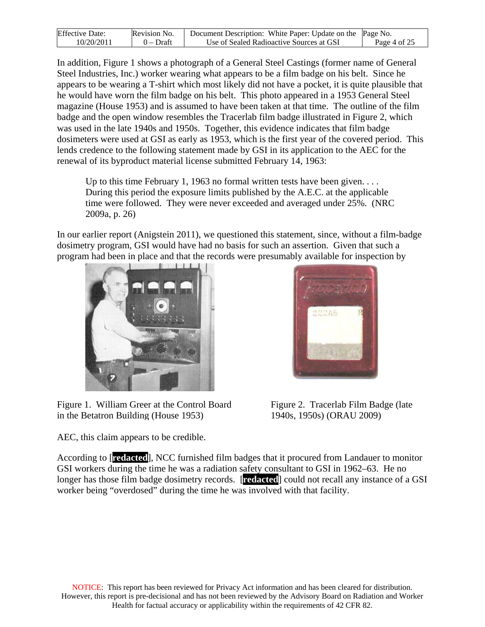| <b>Effective Date:</b> | Revision No. | Document Description: White Paper: Update on the $\beta$ Page No. |              |
|------------------------|--------------|-------------------------------------------------------------------|--------------|
| 10/20/2011             | $0$ – Draft  | Use of Sealed Radioactive Sources at GSI                          | Page 4 of 25 |

In addition, Figure 1 shows a photograph of a General Steel Castings (former name of General Steel Industries, Inc.) worker wearing what appears to be a film badge on his belt. Since he appears to be wearing a T-shirt which most likely did not have a pocket, it is quite plausible that he would have worn the film badge on his belt. This photo appeared in a 1953 General Steel magazine (House 1953) and is assumed to have been taken at that time. The outline of the film badge and the open window resembles the Tracerlab film badge illustrated in Figure 2, which was used in the late 1940s and 1950s. Together, this evidence indicates that film badge dosimeters were used at GSI as early as 1953, which is the first year of the covered period. This lends credence to the following statement made by GSI in its application to the AEC for the renewal of its byproduct material license submitted February 14, 1963:

Up to this time February 1, 1963 no formal written tests have been given... During this period the exposure limits published by the A.E.C. at the applicable time were followed. They were never exceeded and averaged under 25%. (NRC 2009a, p. 26)

In our earlier report (Anigstein 2011), we questioned this statement, since, without a film-badge dosimetry program, GSI would have had no basis for such an assertion. Given that such a program had been in place and that the records were presumably available for inspection by



Figure 1. William Greer at the Control Board in the Betatron Building (House 1953)

AEC, this claim appears to be credible.



Figure 2. Tracerlab Film Badge (late 1940s, 1950s) (ORAU 2009)

According to [**redacted**], NCC furnished film badges that it procured from Landauer to monitor GSI workers during the time he was a radiation safety consultant to GSI in 1962–63. He no longer has those film badge dosimetry records. [**redacted**] could not recall any instance of a GSI worker being "overdosed" during the time he was involved with that facility.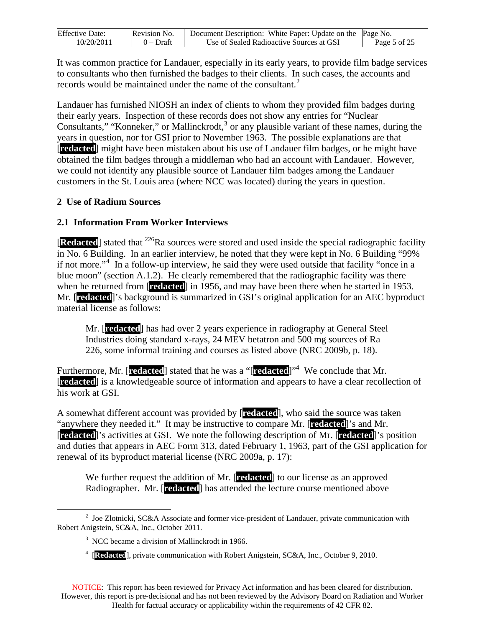| <b>Effective Date:</b> | Revision No. | Document Description: White Paper: Update on the Page No. |              |
|------------------------|--------------|-----------------------------------------------------------|--------------|
| 10/20/2011             | $0$ – Draft  | Use of Sealed Radioactive Sources at GSI                  | Page 5 of 25 |

It was common practice for Landauer, especially in its early years, to provide film badge services to consultants who then furnished the badges to their clients. In such cases, the accounts and records would be maintained under the name of the consultant.<sup>[2](#page-4-0)</sup>

Landauer has furnished NIOSH an index of clients to whom they provided film badges during their early years. Inspection of these records does not show any entries for "Nuclear Consultants," "Konneker," or Mallinckrodt, $3$  or any plausible variant of these names, during the years in question, nor for GSI prior to November 1963. The possible explanations are that [**redacted**] might have been mistaken about his use of Landauer film badges, or he might have obtained the film badges through a middleman who had an account with Landauer. However, we could not identify any plausible source of Landauer film badges among the Landauer customers in the St. Louis area (where NCC was located) during the years in question.

#### **2 Use of Radium Sources**

#### **2.1 Information From Worker Interviews**

[Redacted] stated that <sup>226</sup>Ra sources were stored and used inside the special radiographic facility in No. 6 Building. In an earlier interview, he noted that they were kept in No. 6 Building "99% if not more."[4](#page-4-2) In a follow-up interview, he said they were used outside that facility "once in a blue moon" (section A.1.2). He clearly remembered that the radiographic facility was there when he returned from [**redacted**] in 1956, and may have been there when he started in 1953. Mr. [**redacted**]'s background is summarized in GSI's original application for an AEC byproduct material license as follows:

Mr. [**redacted**] has had over 2 years experience in radiography at General Steel Industries doing standard x-rays, 24 MEV betatron and 500 mg sources of Ra 226, some informal training and courses as listed above (NRC 2009b, p. 18).

Furthermore, Mr. [**redacted**] stated that he was a "[**redacted**]"<sup>4</sup> We conclude that Mr. [**redacted**] is a knowledgeable source of information and appears to have a clear recollection of his work at GSI.

A somewhat different account was provided by [**redacted**], who said the source was taken "anywhere they needed it." It may be instructive to compare Mr. [**redacted**]'s and Mr. [**redacted**]'s activities at GSI. We note the following description of Mr. [**redacted**]'s position and duties that appears in AEC Form 313, dated February 1, 1963, part of the GSI application for renewal of its byproduct material license (NRC 2009a, p. 17):

We further request the addition of Mr. [**redacted**] to our license as an approved Radiographer. Mr. [**redacted**] has attended the lecture course mentioned above

<span id="page-4-2"></span><span id="page-4-1"></span><span id="page-4-0"></span> $\frac{1}{2}$  $\frac{1}{2}$  Joe Zlotnicki, SC&A Associate and former vice-president of Landauer, private communication with Robert Anigstein, SC&A, Inc., October 2011.

<sup>&</sup>lt;sup>3</sup> NCC became a division of Mallinckrodt in 1966.

<sup>&</sup>lt;sup>4</sup> [Redacted], private communication with Robert Anigstein, SC&A, Inc., October 9, 2010.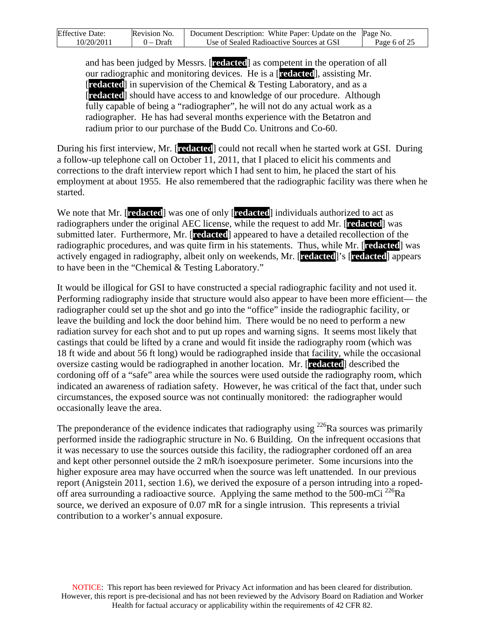| <b>Effective Date:</b> | Revision No. | Document Description: White Paper: Update on the Page No. |              |
|------------------------|--------------|-----------------------------------------------------------|--------------|
| 10/20/2011             | $0$ – Draft  | Use of Sealed Radioactive Sources at GSI                  | Page 6 of 25 |

and has been judged by Messrs. [**redacted**] as competent in the operation of all our radiographic and monitoring devices. He is a [**redacted**], assisting Mr. [**redacted**] in supervision of the Chemical & Testing Laboratory, and as a [**redacted**] should have access to and knowledge of our procedure. Although fully capable of being a "radiographer", he will not do any actual work as a radiographer. He has had several months experience with the Betatron and radium prior to our purchase of the Budd Co. Unitrons and Co-60.

During his first interview, Mr. [**redacted**] could not recall when he started work at GSI. During a follow-up telephone call on October 11, 2011, that I placed to elicit his comments and corrections to the draft interview report which I had sent to him, he placed the start of his employment at about 1955. He also remembered that the radiographic facility was there when he started.

We note that Mr. [**redacted**] was one of only [**redacted**] individuals authorized to act as radiographers under the original AEC license, while the request to add Mr. [**redacted**] was submitted later. Furthermore, Mr. [**redacted**] appeared to have a detailed recollection of the radiographic procedures, and was quite firm in his statements. Thus, while Mr. [**redacted**] was actively engaged in radiography, albeit only on weekends, Mr. [**redacted**]'s [**redacted**] appears to have been in the "Chemical & Testing Laboratory."

It would be illogical for GSI to have constructed a special radiographic facility and not used it. Performing radiography inside that structure would also appear to have been more efficient— the radiographer could set up the shot and go into the "office" inside the radiographic facility, or leave the building and lock the door behind him. There would be no need to perform a new radiation survey for each shot and to put up ropes and warning signs. It seems most likely that castings that could be lifted by a crane and would fit inside the radiography room (which was 18 ft wide and about 56 ft long) would be radiographed inside that facility, while the occasional oversize casting would be radiographed in another location. Mr. [**redacted**] described the cordoning off of a "safe" area while the sources were used outside the radiography room, which indicated an awareness of radiation safety. However, he was critical of the fact that, under such circumstances, the exposed source was not continually monitored: the radiographer would occasionally leave the area.

The preponderance of the evidence indicates that radiography using  $^{226}$ Ra sources was primarily performed inside the radiographic structure in No. 6 Building. On the infrequent occasions that it was necessary to use the sources outside this facility, the radiographer cordoned off an area and kept other personnel outside the 2 mR/h isoexposure perimeter. Some incursions into the higher exposure area may have occurred when the source was left unattended. In our previous report (Anigstein 2011, section 1.6), we derived the exposure of a person intruding into a ropedoff area surrounding a radioactive source. Applying the same method to the 500-mCi <sup>226</sup>Ra source, we derived an exposure of 0.07 mR for a single intrusion. This represents a trivial contribution to a worker's annual exposure.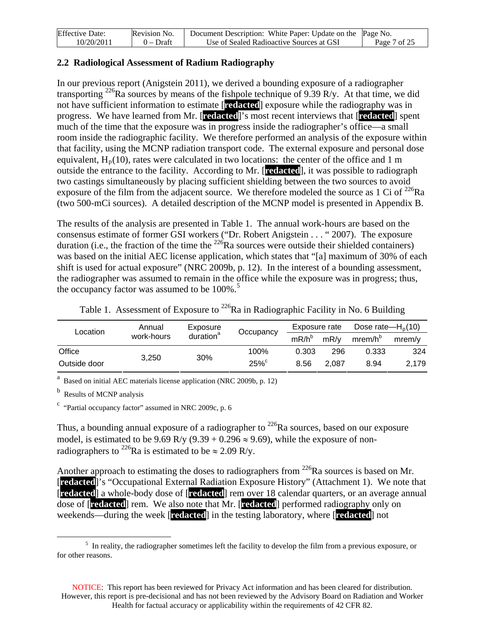| <b>Effective Date:</b> | Revision No. | Document Description: White Paper: Update on the Page No. |              |
|------------------------|--------------|-----------------------------------------------------------|--------------|
| 10/20/2011             | $0$ – Draft  | Use of Sealed Radioactive Sources at GSI                  | Page 7 of 25 |

#### **2.2 Radiological Assessment of Radium Radiography**

In our previous report (Anigstein 2011), we derived a bounding exposure of a radiographer transporting <sup>226</sup>Ra sources by means of the fishpole technique of 9.39 R/y. At that time, we did not have sufficient information to estimate [**redacted**] exposure while the radiography was in progress. We have learned from Mr. [**redacted**]'s most recent interviews that [**redacted**] spent much of the time that the exposure was in progress inside the radiographer's office—a small room inside the radiographic facility. We therefore performed an analysis of the exposure within that facility, using the MCNP radiation transport code. The external exposure and personal dose equivalent,  $H_p(10)$ , rates were calculated in two locations: the center of the office and 1 m outside the entrance to the facility. According to Mr. [**redacted**], it was possible to radiograph two castings simultaneously by placing sufficient shielding between the two sources to avoid exposure of the film from the adjacent source. We therefore modeled the source as 1 Ci of  $^{226}Ra$ (two 500-mCi sources). A detailed description of the MCNP model is presented in Appendix B.

The results of the analysis are presented in Table 1. The annual work-hours are based on the consensus estimate of former GSI workers ("Dr. Robert Anigstein . . . " 2007). The exposure duration (i.e., the fraction of the time the  $226$ Ra sources were outside their shielded containers) was based on the initial AEC license application, which states that "[a] maximum of 30% of each shift is used for actual exposure" (NRC 2009b, p. 12). In the interest of a bounding assessment, the radiographer was assumed to remain in the office while the exposure was in progress; thus, the occupancy factor was assumed to be  $100\%$ .<sup>[5](#page-6-0)</sup>

| Location     | Annual     | Exposure<br>Occupancy |        | Exposure rate  |       | Dose rate— $H0(10)$ |           |
|--------------|------------|-----------------------|--------|----------------|-------|---------------------|-----------|
|              | work-hours | duration <sup>a</sup> |        | $mR/h^{\circ}$ | mR/v  | mrem/h <sup>b</sup> | $m$ rem/v |
| Office       |            |                       | 100%   | 0.303          | 296   | 0.333               | 324       |
| Outside door | 3.250      | 30%                   | $25\%$ | 8.56           | 2.087 | 8.94                | 2.179     |

Table 1. Assessment of Exposure to  $^{226}$ Ra in Radiographic Facility in No. 6 Building

<sup>a</sup> Based on initial AEC materials license application (NRC 2009b, p. 12)

<sup>b</sup> Results of MCNP analysis

<sup>c</sup> "Partial occupancy factor" assumed in NRC 2009c, p. 6

Thus, a bounding annual exposure of a radiographer to  $^{226}$ Ra sources, based on our exposure model, is estimated to be 9.69 R/y (9.39 + 0.296  $\approx$  9.69), while the exposure of nonradiographers to <sup>226</sup>Ra is estimated to be  $\approx$  2.09 R/y.

Another approach to estimating the doses to radiographers from <sup>226</sup>Ra sources is based on Mr. [**redacted**]'s "Occupational External Radiation Exposure History" (Attachment 1). We note that [**redacted**] a whole-body dose of [**redacted**] rem over 18 calendar quarters, or an average annual dose of [**redacted**] rem. We also note that Mr. [**redacted**] performed radiography only on weekends—during the week [**redacted**] in the testing laboratory, where [**redacted**] not

<span id="page-6-0"></span> $\frac{1}{5}$  $\frac{1}{2}$  In reality, the radiographer sometimes left the facility to develop the film from a previous exposure, or for other reasons.

NOTICE: This report has been reviewed for Privacy Act information and has been cleared for distribution. However, this report is pre-decisional and has not been reviewed by the Advisory Board on Radiation and Worker Health for factual accuracy or applicability within the requirements of 42 CFR 82.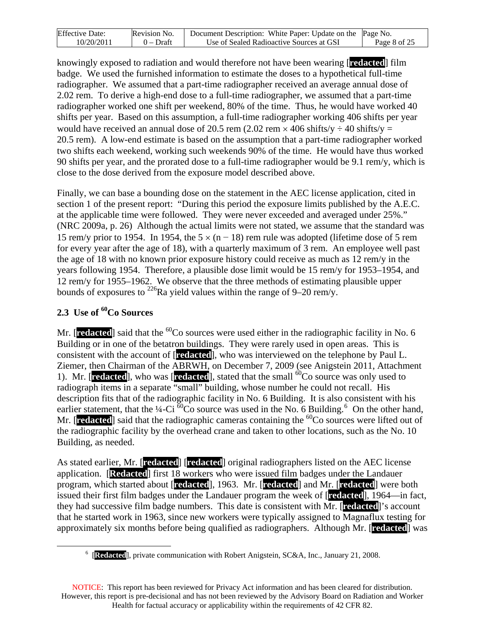| <b>Effective Date:</b> | Revision No. | Document Description: White Paper: Update on the Page No. |              |
|------------------------|--------------|-----------------------------------------------------------|--------------|
| 10/20/2011             | $0$ – Draft  | Use of Sealed Radioactive Sources at GSI                  | Page 8 of 25 |

knowingly exposed to radiation and would therefore not have been wearing [**redacted**] film badge. We used the furnished information to estimate the doses to a hypothetical full-time radiographer. We assumed that a part-time radiographer received an average annual dose of 2.02 rem. To derive a high-end dose to a full-time radiographer, we assumed that a part-time radiographer worked one shift per weekend, 80% of the time. Thus, he would have worked 40 shifts per year. Based on this assumption, a full-time radiographer working 406 shifts per year would have received an annual dose of 20.5 rem (2.02 rem  $\times$  406 shifts/y  $\div$  40 shifts/y = 20.5 rem). A low-end estimate is based on the assumption that a part-time radiographer worked two shifts each weekend, working such weekends 90% of the time. He would have thus worked 90 shifts per year, and the prorated dose to a full-time radiographer would be 9.1 rem/y, which is close to the dose derived from the exposure model described above.

Finally, we can base a bounding dose on the statement in the AEC license application, cited in section 1 of the present report: "During this period the exposure limits published by the A.E.C. at the applicable time were followed. They were never exceeded and averaged under 25%." (NRC 2009a, p. 26) Although the actual limits were not stated, we assume that the standard was 15 rem/y prior to 1954. In 1954, the  $5 \times (n - 18)$  rem rule was adopted (lifetime dose of 5 rem for every year after the age of 18), with a quarterly maximum of 3 rem. An employee well past the age of 18 with no known prior exposure history could receive as much as 12 rem/y in the years following 1954. Therefore, a plausible dose limit would be 15 rem/y for 1953–1954, and 12 rem/y for 1955–1962. We observe that the three methods of estimating plausible upper bounds of exposures to  $^{226}$ Ra yield values within the range of 9–20 rem/y.

# 2.3 Use of <sup>60</sup>Co Sources

Mr.  $[**reduced**]$  said that the  ${}^{60}Co$  sources were used either in the radiographic facility in No. 6 Building or in one of the betatron buildings. They were rarely used in open areas. This is consistent with the account of [**redacted**], who was interviewed on the telephone by Paul L. Ziemer, then Chairman of the ABRWH, on December 7, 2009 (see Anigstein 2011, Attachment 1). Mr. [**redacted**], who was [**redacted**], stated that the small <sup>60</sup>Co source was only used to radiograph items in a separate "small" building, whose number he could not recall. His description fits that of the radiographic facility in No. 6 Building. It is also consistent with his earlier statement, that the  $\frac{1}{4}$ -Ci  $\frac{60}{60}$  $\frac{60}{60}$  $\frac{60}{60}$  source was used in the No. 6 Building.<sup>6</sup> On the other hand, Mr. **[redacted**] said that the radiographic cameras containing the <sup>60</sup>Co sources were lifted out of the radiographic facility by the overhead crane and taken to other locations, such as the No. 10 Building, as needed.

As stated earlier, Mr. [**redacted**] [**redacted**] original radiographers listed on the AEC license application. [**Redacted**] first 18 workers who were issued film badges under the Landauer program, which started about [**redacted**], 1963. Mr. [**redacted**] and Mr. [**redacted**] were both issued their first film badges under the Landauer program the week of [**redacted**], 1964—in fact, they had successive film badge numbers. This date is consistent with Mr. [**redacted**]'s account that he started work in 1963, since new workers were typically assigned to Magnaflux testing for approximately six months before being qualified as radiographers. Although Mr. [**redacted**] was

<span id="page-7-0"></span> $\begin{array}{c|c}\n\hline\n\text{1} & \text{6}\n\end{array}$ [**Redacted**], private communication with Robert Anigstein, SC&A, Inc., January 21, 2008.

NOTICE: This report has been reviewed for Privacy Act information and has been cleared for distribution. However, this report is pre-decisional and has not been reviewed by the Advisory Board on Radiation and Worker Health for factual accuracy or applicability within the requirements of 42 CFR 82.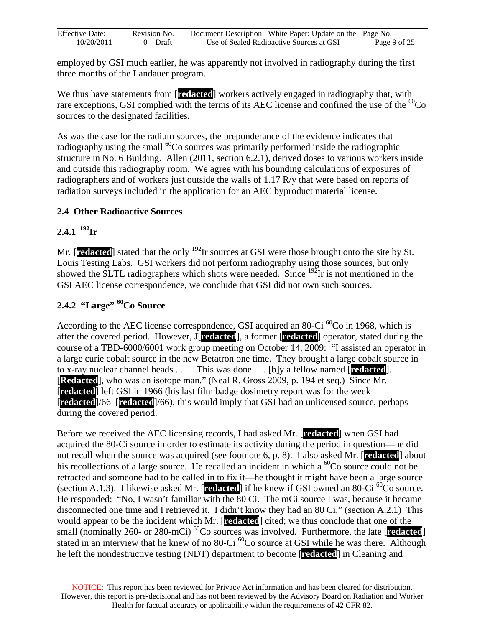| <b>Effective Date:</b> | Revision No. | Document Description: White Paper: Update on the Page No. |              |
|------------------------|--------------|-----------------------------------------------------------|--------------|
| 10/20/2011             | 0 – Draft    | Use of Sealed Radioactive Sources at GSI                  | Page 9 of 25 |

employed by GSI much earlier, he was apparently not involved in radiography during the first three months of the Landauer program.

We thus have statements from [**redacted**] workers actively engaged in radiography that, with rare exceptions, GSI complied with the terms of its AEC license and confined the use of the  ${}^{60}Co$ sources to the designated facilities.

As was the case for the radium sources, the preponderance of the evidence indicates that radiography using the small  ${}^{60}Co$  sources was primarily performed inside the radiographic structure in No. 6 Building. Allen (2011, section 6.2.1), derived doses to various workers inside and outside this radiography room. We agree with his bounding calculations of exposures of radiographers and of workers just outside the walls of 1.17 R/y that were based on reports of radiation surveys included in the application for an AEC byproduct material license.

## **2.4 Other Radioactive Sources**

## $2.4.1$ <sup>192</sup>Ir

Mr. [**redacted**] stated that the only <sup>192</sup>Ir sources at GSI were those brought onto the site by St. Louis Testing Labs. GSI workers did not perform radiography using those sources, but only showed the SLTL radiographers which shots were needed. Since  $192$ Ir is not mentioned in the GSI AEC license correspondence, we conclude that GSI did not own such sources.

# **2.4.2 "Large" 60Co Source**

According to the AEC license correspondence, GSI acquired an 80-Ci  ${}^{60}$ Co in 1968, which is after the covered period. However, J[**redacted**], a former [**redacted**] operator, stated during the course of a TBD-6000/6001 work group meeting on October 14, 2009: "I assisted an operator in a large curie cobalt source in the new Betatron one time. They brought a large cobalt source in to x-ray nuclear channel heads . . . . This was done . . . [b]y a fellow named [**redacted**]. [**Redacted**], who was an isotope man." (Neal R. Gross 2009, p. 194 et seq.) Since Mr. [**redacted**] left GSI in 1966 (his last film badge dosimetry report was for the week [**redacted**]/66–[**redacted**]/66), this would imply that GSI had an unlicensed source, perhaps during the covered period.

Before we received the AEC licensing records, I had asked Mr. [**redacted**] when GSI had acquired the 80-Ci source in order to estimate its activity during the period in question—he did not recall when the source was acquired (see footnote 6, p. 8). I also asked Mr. [**redacted**] about his recollections of a large source. He recalled an incident in which a  ${}^{60}Co$  source could not be retracted and someone had to be called in to fix it—he thought it might have been a large source (section A.1.3). I likewise asked Mr.  $[{\bf related}]$  if he knew if GSI owned an 80-Ci  ${}^{60}$ Co source. He responded: "No, I wasn't familiar with the 80 Ci. The mCi source I was, because it became disconnected one time and I retrieved it. I didn't know they had an 80 Ci." (section A.2.1) This would appear to be the incident which Mr. [**redacted**] cited; we thus conclude that one of the small (nominally 260- or 280-mCi)  ${}^{60}$ Co sources was involved. Furthermore, the late [**redacted**] stated in an interview that he knew of no 80-Ci <sup>60</sup>Co source at GSI while he was there. Although he left the nondestructive testing (NDT) department to become [**redacted**] in Cleaning and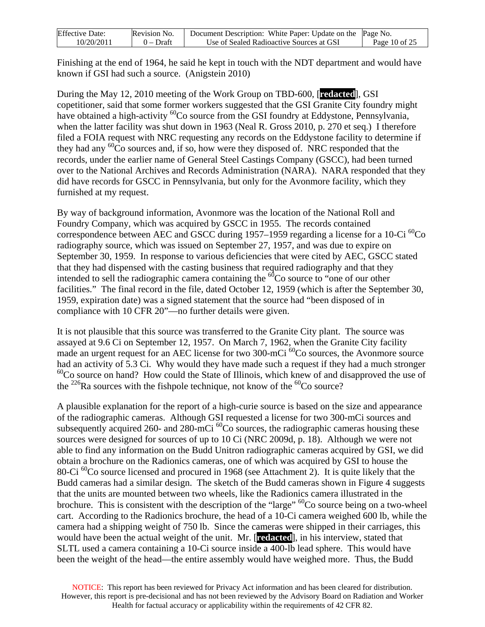| <b>Effective Date:</b> | Revision No. | Document Description: White Paper: Update on the Page No. |               |
|------------------------|--------------|-----------------------------------------------------------|---------------|
| 10/20/2011             | $0$ – Draft  | Use of Sealed Radioactive Sources at GSI                  | Page 10 of 25 |

Finishing at the end of 1964, he said he kept in touch with the NDT department and would have known if GSI had such a source. (Anigstein 2010)

During the May 12, 2010 meeting of the Work Group on TBD-600, [**redacted**], GSI copetitioner, said that some former workers suggested that the GSI Granite City foundry might have obtained a high-activity <sup>60</sup>Co source from the GSI foundry at Eddystone, Pennsylvania, when the latter facility was shut down in 1963 (Neal R. Gross 2010, p. 270 et seq.) I therefore filed a FOIA request with NRC requesting any records on the Eddystone facility to determine if they had any  ${}^{60}Co$  sources and, if so, how were they disposed of. NRC responded that the records, under the earlier name of General Steel Castings Company (GSCC), had been turned over to the National Archives and Records Administration (NARA). NARA responded that they did have records for GSCC in Pennsylvania, but only for the Avonmore facility, which they furnished at my request.

By way of background information, Avonmore was the location of the National Roll and Foundry Company, which was acquired by GSCC in 1955. The records contained correspondence between AEC and GSCC during 1957–1959 regarding a license for a 10-Ci  ${}^{60}$ Co radiography source, which was issued on September 27, 1957, and was due to expire on September 30, 1959. In response to various deficiencies that were cited by AEC, GSCC stated that they had dispensed with the casting business that required radiography and that they intended to sell the radiographic camera containing the  ${}^{60}Co$  source to "one of our other facilities." The final record in the file, dated October 12, 1959 (which is after the September 30, 1959, expiration date) was a signed statement that the source had "been disposed of in compliance with 10 CFR 20"—no further details were given.

It is not plausible that this source was transferred to the Granite City plant. The source was assayed at 9.6 Ci on September 12, 1957. On March 7, 1962, when the Granite City facility made an urgent request for an AEC license for two  $300$ -mCi  $^{60}$ Co sources, the Avonmore source had an activity of 5.3 Ci. Why would they have made such a request if they had a much stronger  $^{60}$ Co source on hand? How could the State of Illinois, which knew of and disapproved the use of the <sup>226</sup>Ra sources with the fishpole technique, not know of the <sup>60</sup>Co source?

A plausible explanation for the report of a high-curie source is based on the size and appearance of the radiographic cameras. Although GSI requested a license for two 300-mCi sources and subsequently acquired 260- and 280-mCi  ${}^{60}$ Co sources, the radiographic cameras housing these sources were designed for sources of up to 10 Ci (NRC 2009d, p. 18). Although we were not able to find any information on the Budd Unitron radiographic cameras acquired by GSI, we did obtain a brochure on the Radionics cameras, one of which was acquired by GSI to house the 80-Ci<sup>60</sup>Co source licensed and procured in 1968 (see Attachment 2). It is quite likely that the Budd cameras had a similar design. The sketch of the Budd cameras shown in Figure 4 suggests that the units are mounted between two wheels, like the Radionics camera illustrated in the brochure. This is consistent with the description of the "large"  ${}^{60}Co$  source being on a two-wheel cart. According to the Radionics brochure, the head of a 10-Ci camera weighed 600 lb, while the camera had a shipping weight of 750 lb. Since the cameras were shipped in their carriages, this would have been the actual weight of the unit. Mr. [**redacted**], in his interview, stated that SLTL used a camera containing a 10-Ci source inside a 400-lb lead sphere. This would have been the weight of the head—the entire assembly would have weighed more. Thus, the Budd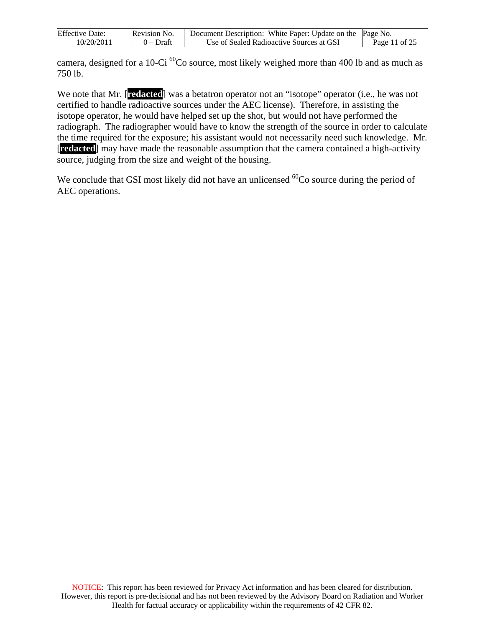| <b>Effective Date:</b> | Revision No. | Document Description: White Paper: Update on the Page No. |               |
|------------------------|--------------|-----------------------------------------------------------|---------------|
| 10/20/2011             | $0$ – Draft  | Use of Sealed Radioactive Sources at GSI                  | Page 11 of 25 |

camera, designed for a 10-Ci <sup>60</sup>Co source, most likely weighed more than 400 lb and as much as 750 lb.

We note that Mr. [**redacted**] was a betatron operator not an "isotope" operator (i.e., he was not certified to handle radioactive sources under the AEC license). Therefore, in assisting the isotope operator, he would have helped set up the shot, but would not have performed the radiograph. The radiographer would have to know the strength of the source in order to calculate the time required for the exposure; his assistant would not necessarily need such knowledge. Mr. [**redacted**] may have made the reasonable assumption that the camera contained a high-activity source, judging from the size and weight of the housing.

We conclude that GSI most likely did not have an unlicensed  ${}^{60}Co$  source during the period of AEC operations.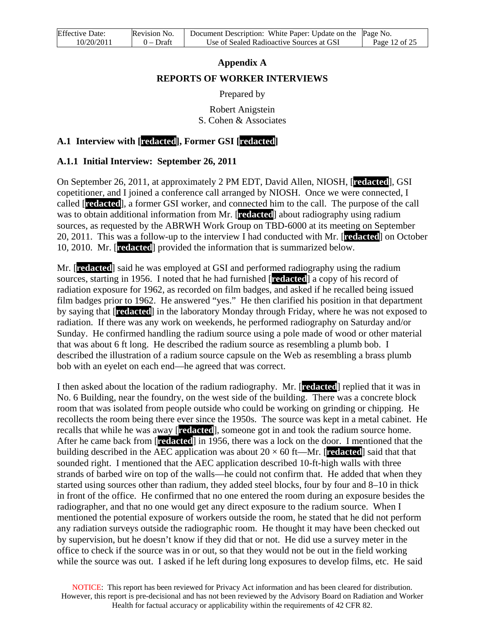# **Appendix A REPORTS OF WORKER INTERVIEWS**

Prepared by

Robert Anigstein S. Cohen & Associates

## **A.1 Interview with [redacted], Former GSI [redacted]**

## **A.1.1 Initial Interview: September 26, 2011**

On September 26, 2011, at approximately 2 PM EDT, David Allen, NIOSH, [**redacted**], GSI copetitioner, and I joined a conference call arranged by NIOSH. Once we were connected, I called [**redacted**], a former GSI worker, and connected him to the call. The purpose of the call was to obtain additional information from Mr. [**redacted**] about radiography using radium sources, as requested by the ABRWH Work Group on TBD-6000 at its meeting on September 20, 2011. This was a follow-up to the interview I had conducted with Mr. [**redacted**] on October 10, 2010. Mr. [**redacted**] provided the information that is summarized below.

Mr. [**redacted**] said he was employed at GSI and performed radiography using the radium sources, starting in 1956. I noted that he had furnished [**redacted**] a copy of his record of radiation exposure for 1962, as recorded on film badges, and asked if he recalled being issued film badges prior to 1962. He answered "yes." He then clarified his position in that department by saying that [**redacted**] in the laboratory Monday through Friday, where he was not exposed to radiation. If there was any work on weekends, he performed radiography on Saturday and/or Sunday. He confirmed handling the radium source using a pole made of wood or other material that was about 6 ft long. He described the radium source as resembling a plumb bob. I described the illustration of a radium source capsule on the Web as resembling a brass plumb bob with an eyelet on each end—he agreed that was correct.

I then asked about the location of the radium radiography. Mr. [**redacted**] replied that it was in No. 6 Building, near the foundry, on the west side of the building. There was a concrete block room that was isolated from people outside who could be working on grinding or chipping. He recollects the room being there ever since the 1950s. The source was kept in a metal cabinet. He recalls that while he was away [**redacted**], someone got in and took the radium source home. After he came back from [**redacted**] in 1956, there was a lock on the door. I mentioned that the building described in the AEC application was about 20 × 60 ft—Mr. [**redacted**] said that that sounded right. I mentioned that the AEC application described 10-ft-high walls with three strands of barbed wire on top of the walls—he could not confirm that. He added that when they started using sources other than radium, they added steel blocks, four by four and 8–10 in thick in front of the office. He confirmed that no one entered the room during an exposure besides the radiographer, and that no one would get any direct exposure to the radium source. When I mentioned the potential exposure of workers outside the room, he stated that he did not perform any radiation surveys outside the radiographic room. He thought it may have been checked out by supervision, but he doesn't know if they did that or not. He did use a survey meter in the office to check if the source was in or out, so that they would not be out in the field working while the source was out. I asked if he left during long exposures to develop films, etc. He said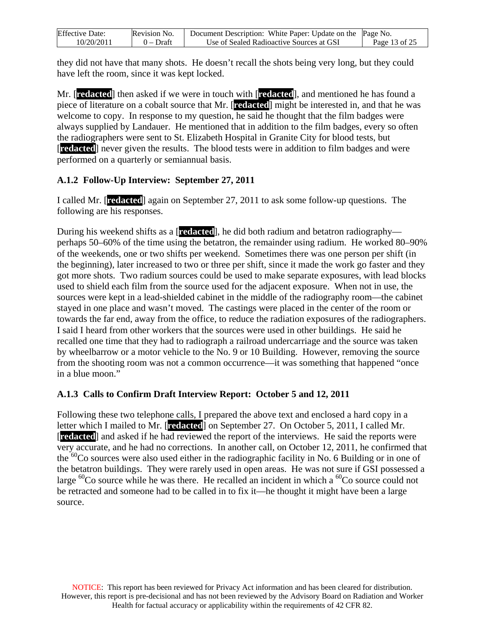| <b>Effective Date:</b> | Revision No. | Document Description: White Paper: Update on the Page No. |               |
|------------------------|--------------|-----------------------------------------------------------|---------------|
| 10/20/2011             | 0 – Draft    | Use of Sealed Radioactive Sources at GSI                  | Page 13 of 25 |

they did not have that many shots. He doesn't recall the shots being very long, but they could have left the room, since it was kept locked.

Mr. [**redacted**] then asked if we were in touch with [**redacted**], and mentioned he has found a piece of literature on a cobalt source that Mr. [**redacted**] might be interested in, and that he was welcome to copy. In response to my question, he said he thought that the film badges were always supplied by Landauer. He mentioned that in addition to the film badges, every so often the radiographers were sent to St. Elizabeth Hospital in Granite City for blood tests, but [**redacted**] never given the results. The blood tests were in addition to film badges and were performed on a quarterly or semiannual basis.

#### **A.1.2 Follow-Up Interview: September 27, 2011**

I called Mr. [**redacted**] again on September 27, 2011 to ask some follow-up questions. The following are his responses.

During his weekend shifts as a [**redacted**], he did both radium and betatron radiography perhaps 50–60% of the time using the betatron, the remainder using radium. He worked 80–90% of the weekends, one or two shifts per weekend. Sometimes there was one person per shift (in the beginning), later increased to two or three per shift, since it made the work go faster and they got more shots. Two radium sources could be used to make separate exposures, with lead blocks used to shield each film from the source used for the adjacent exposure. When not in use, the sources were kept in a lead-shielded cabinet in the middle of the radiography room—the cabinet stayed in one place and wasn't moved. The castings were placed in the center of the room or towards the far end, away from the office, to reduce the radiation exposures of the radiographers. I said I heard from other workers that the sources were used in other buildings. He said he recalled one time that they had to radiograph a railroad undercarriage and the source was taken by wheelbarrow or a motor vehicle to the No. 9 or 10 Building. However, removing the source from the shooting room was not a common occurrence—it was something that happened "once in a blue moon."

#### **A.1.3 Calls to Confirm Draft Interview Report: October 5 and 12, 2011**

Following these two telephone calls, I prepared the above text and enclosed a hard copy in a letter which I mailed to Mr. [**redacted**] on September 27. On October 5, 2011, I called Mr. [**redacted**] and asked if he had reviewed the report of the interviews. He said the reports were very accurate, and he had no corrections. In another call, on October 12, 2011, he confirmed that the  $60^{\circ}$ Co sources were also used either in the radiographic facility in No. 6 Building or in one of the betatron buildings. They were rarely used in open areas. He was not sure if GSI possessed a large  ${}^{60}$ Co source while he was there. He recalled an incident in which a  ${}^{60}$ Co source could not be retracted and someone had to be called in to fix it—he thought it might have been a large source.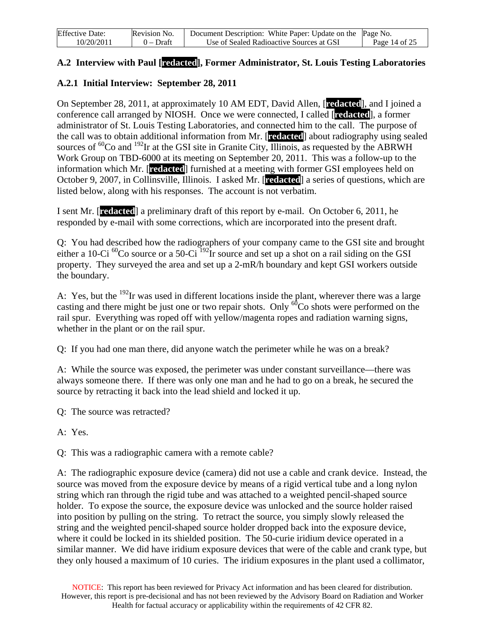| <b>Effective Date:</b> | Revision No. | Document Description: White Paper: Update on the Page No. |               |
|------------------------|--------------|-----------------------------------------------------------|---------------|
| 10/20/2011             | $0$ – Draft  | Use of Sealed Radioactive Sources at GSI                  | Page 14 of 25 |

#### **A.2 Interview with Paul [redacted], Former Administrator, St. Louis Testing Laboratories**

## **A.2.1 Initial Interview: September 28, 2011**

On September 28, 2011, at approximately 10 AM EDT, David Allen, [**redacted**], and I joined a conference call arranged by NIOSH. Once we were connected, I called [**redacted**], a former administrator of St. Louis Testing Laboratories, and connected him to the call. The purpose of the call was to obtain additional information from Mr. [**redacted**] about radiography using sealed sources of  ${}^{60}$ Co and  ${}^{192}$ Ir at the GSI site in Granite City, Illinois, as requested by the ABRWH Work Group on TBD-6000 at its meeting on September 20, 2011. This was a follow-up to the information which Mr. [**redacted**] furnished at a meeting with former GSI employees held on October 9, 2007, in Collinsville, Illinois. I asked Mr. [**redacted**] a series of questions, which are listed below, along with his responses. The account is not verbatim.

I sent Mr. [**redacted**] a preliminary draft of this report by e-mail. On October 6, 2011, he responded by e-mail with some corrections, which are incorporated into the present draft.

Q: You had described how the radiographers of your company came to the GSI site and brought either a 10-Ci  ${}^{60}$ Co source or a 50-Ci  ${}^{192}$ Ir source and set up a shot on a rail siding on the GSI property. They surveyed the area and set up a 2-mR/h boundary and kept GSI workers outside the boundary.

A: Yes, but the <sup>192</sup>Ir was used in different locations inside the plant, wherever there was a large casting and there might be just one or two repair shots. Only  ${}^{60}Co$  shots were performed on the rail spur. Everything was roped off with yellow/magenta ropes and radiation warning signs, whether in the plant or on the rail spur.

Q: If you had one man there, did anyone watch the perimeter while he was on a break?

A: While the source was exposed, the perimeter was under constant surveillance—there was always someone there. If there was only one man and he had to go on a break, he secured the source by retracting it back into the lead shield and locked it up.

Q: The source was retracted?

A: Yes.

Q: This was a radiographic camera with a remote cable?

A: The radiographic exposure device (camera) did not use a cable and crank device. Instead, the source was moved from the exposure device by means of a rigid vertical tube and a long nylon string which ran through the rigid tube and was attached to a weighted pencil-shaped source holder. To expose the source, the exposure device was unlocked and the source holder raised into position by pulling on the string. To retract the source, you simply slowly released the string and the weighted pencil-shaped source holder dropped back into the exposure device, where it could be locked in its shielded position. The 50-curie iridium device operated in a similar manner. We did have iridium exposure devices that were of the cable and crank type, but they only housed a maximum of 10 curies. The iridium exposures in the plant used a collimator,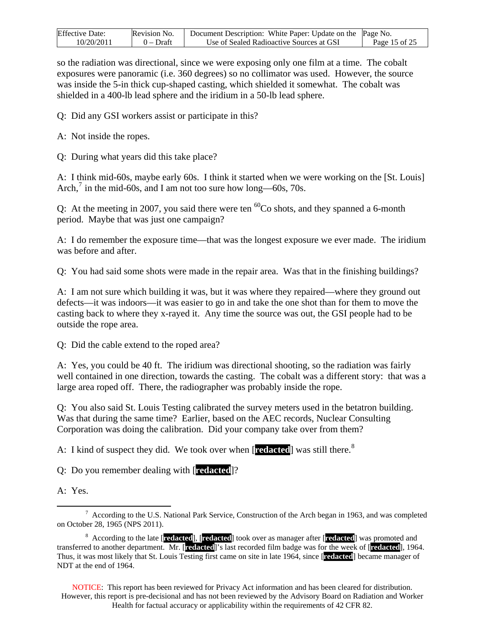| <b>Effective Date:</b> | Revision No. | Document Description: White Paper: Update on the Page No. |               |
|------------------------|--------------|-----------------------------------------------------------|---------------|
| 10/20/2011             | $0$ – Draft  | Use of Sealed Radioactive Sources at GSI                  | Page 15 of 25 |

so the radiation was directional, since we were exposing only one film at a time. The cobalt exposures were panoramic (i.e. 360 degrees) so no collimator was used. However, the source was inside the 5-in thick cup-shaped casting, which shielded it somewhat. The cobalt was shielded in a 400-lb lead sphere and the iridium in a 50-lb lead sphere.

Q: Did any GSI workers assist or participate in this?

- A: Not inside the ropes.
- Q: During what years did this take place?

A: I think mid-60s, maybe early 60s. I think it started when we were working on the [St. Louis] Arch, $^7$  $^7$  in the mid-60s, and I am not too sure how long—60s, 70s.

Q: At the meeting in 2007, you said there were ten  ${}^{60}Co$  shots, and they spanned a 6-month period. Maybe that was just one campaign?

A: I do remember the exposure time—that was the longest exposure we ever made. The iridium was before and after.

Q: You had said some shots were made in the repair area. Was that in the finishing buildings?

A: I am not sure which building it was, but it was where they repaired—where they ground out defects—it was indoors—it was easier to go in and take the one shot than for them to move the casting back to where they x-rayed it. Any time the source was out, the GSI people had to be outside the rope area.

Q: Did the cable extend to the roped area?

A: Yes, you could be 40 ft. The iridium was directional shooting, so the radiation was fairly well contained in one direction, towards the casting. The cobalt was a different story: that was a large area roped off. There, the radiographer was probably inside the rope.

Q: You also said St. Louis Testing calibrated the survey meters used in the betatron building. Was that during the same time? Earlier, based on the AEC records, Nuclear Consulting Corporation was doing the calibration. Did your company take over from them?

A: I kind of suspect they did. We took over when [**redacted**] was still there.<sup>[8](#page-14-1)</sup>

Q: Do you remember dealing with [**redacted**]?

A: Yes.

NOTICE: This report has been reviewed for Privacy Act information and has been cleared for distribution. However, this report is pre-decisional and has not been reviewed by the Advisory Board on Radiation and Worker Health for factual accuracy or applicability within the requirements of 42 CFR 82.

<span id="page-14-0"></span> <sup>7</sup>  $7$  According to the U.S. National Park Service, Construction of the Arch began in 1963, and was completed on October 28, 1965 (NPS 2011).

<span id="page-14-1"></span><sup>8</sup> According to the late [**redacted**], [**redacted**] took over as manager after [**redacted**] was promoted and transferred to another department. Mr. [**redacted**]'s last recorded film badge was for the week of [**redacted**], 1964. Thus, it was most likely that St. Louis Testing first came on site in late 1964, since [**redacted**] became manager of NDT at the end of 1964.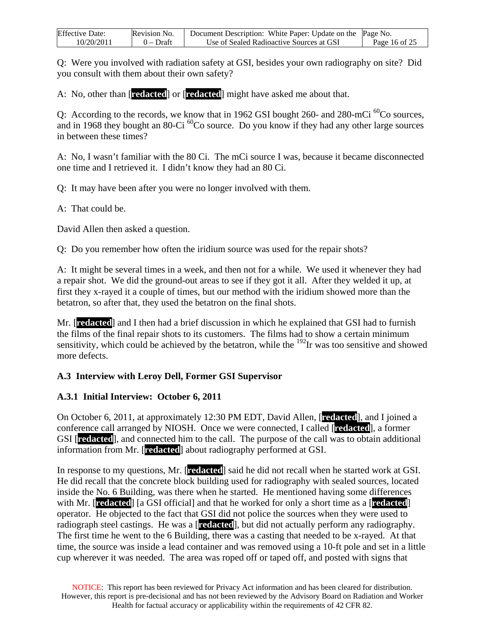| <b>Effective Date:</b> | Revision No. | Document Description: White Paper: Update on the Page No. |               |
|------------------------|--------------|-----------------------------------------------------------|---------------|
| 10/20/2011             | 0 – Draft    | Use of Sealed Radioactive Sources at GSI                  | Page 16 of 25 |

Q: Were you involved with radiation safety at GSI, besides your own radiography on site? Did you consult with them about their own safety?

A: No, other than [**redacted**] or [**redacted**] might have asked me about that.

Q: According to the records, we know that in 1962 GSI bought 260- and 280-mCi  ${}^{60}$ Co sources, and in 1968 they bought an 80-Ci  ${}^{60}$ Co source. Do you know if they had any other large sources in between these times?

A: No, I wasn't familiar with the 80 Ci. The mCi source I was, because it became disconnected one time and I retrieved it. I didn't know they had an 80 Ci.

Q: It may have been after you were no longer involved with them.

A: That could be.

David Allen then asked a question.

Q: Do you remember how often the iridium source was used for the repair shots?

A: It might be several times in a week, and then not for a while. We used it whenever they had a repair shot. We did the ground-out areas to see if they got it all. After they welded it up, at first they x-rayed it a couple of times, but our method with the iridium showed more than the betatron, so after that, they used the betatron on the final shots.

Mr. [**redacted**] and I then had a brief discussion in which he explained that GSI had to furnish the films of the final repair shots to its customers. The films had to show a certain minimum sensitivity, which could be achieved by the betatron, while the  $^{192}$ Ir was too sensitive and showed more defects.

#### **A.3 Interview with Leroy Dell, Former GSI Supervisor**

#### **A.3.1 Initial Interview: October 6, 2011**

On October 6, 2011, at approximately 12:30 PM EDT, David Allen, [**redacted**], and I joined a conference call arranged by NIOSH. Once we were connected, I called [**redacted**], a former GSI [**redacted**], and connected him to the call. The purpose of the call was to obtain additional information from Mr. [**redacted**] about radiography performed at GSI.

In response to my questions, Mr. [**redacted**] said he did not recall when he started work at GSI. He did recall that the concrete block building used for radiography with sealed sources, located inside the No. 6 Building, was there when he started. He mentioned having some differences with Mr. [**redacted**] [a GSI official] and that he worked for only a short time as a [**redacted**] operator. He objected to the fact that GSI did not police the sources when they were used to radiograph steel castings. He was a [**redacted**], but did not actually perform any radiography. The first time he went to the 6 Building, there was a casting that needed to be x-rayed. At that time, the source was inside a lead container and was removed using a 10-ft pole and set in a little cup wherever it was needed. The area was roped off or taped off, and posted with signs that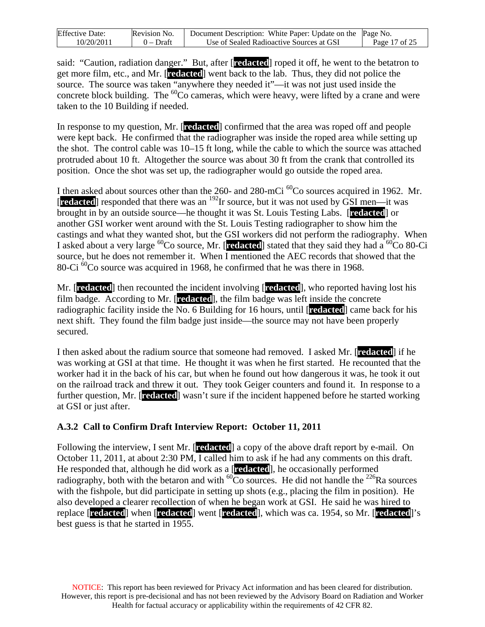| <b>Effective Date:</b> | Revision No. | Document Description: White Paper: Update on the Page No. |               |
|------------------------|--------------|-----------------------------------------------------------|---------------|
| 10/20/2011             | 0 – Draft    | Use of Sealed Radioactive Sources at GSI                  | Page 17 of 25 |

said: "Caution, radiation danger." But, after [**redacted**] roped it off, he went to the betatron to get more film, etc., and Mr. [**redacted**] went back to the lab. Thus, they did not police the source. The source was taken "anywhere they needed it"—it was not just used inside the concrete block building. The  ${}^{60}$ Co cameras, which were heavy, were lifted by a crane and were taken to the 10 Building if needed.

In response to my question, Mr. [**redacted**] confirmed that the area was roped off and people were kept back. He confirmed that the radiographer was inside the roped area while setting up the shot. The control cable was 10–15 ft long, while the cable to which the source was attached protruded about 10 ft. Altogether the source was about 30 ft from the crank that controlled its position. Once the shot was set up, the radiographer would go outside the roped area.

I then asked about sources other than the 260- and 280-mCi <sup>60</sup>Co sources acquired in 1962. Mr. [**redacted**] responded that there was an 192Ir source, but it was not used by GSI men—it was brought in by an outside source—he thought it was St. Louis Testing Labs. [**redacted**] or another GSI worker went around with the St. Louis Testing radiographer to show him the castings and what they wanted shot, but the GSI workers did not perform the radiography. When I asked about a very large  ${}^{60}$ Co source, Mr. [**redacted**] stated that they said they had a  ${}^{60}$ Co 80-Ci source, but he does not remember it. When I mentioned the AEC records that showed that the 80-Ci  ${}^{60}$ Co source was acquired in 1968, he confirmed that he was there in 1968.

Mr. [**redacted**] then recounted the incident involving [**redacted**], who reported having lost his film badge. According to Mr. [**redacted**], the film badge was left inside the concrete radiographic facility inside the No. 6 Building for 16 hours, until [**redacted**] came back for his next shift. They found the film badge just inside—the source may not have been properly secured.

I then asked about the radium source that someone had removed. I asked Mr. [**redacted**] if he was working at GSI at that time. He thought it was when he first started. He recounted that the worker had it in the back of his car, but when he found out how dangerous it was, he took it out on the railroad track and threw it out. They took Geiger counters and found it. In response to a further question, Mr. [**redacted**] wasn't sure if the incident happened before he started working at GSI or just after.

#### **A.3.2 Call to Confirm Draft Interview Report: October 11, 2011**

Following the interview, I sent Mr. [**redacted**] a copy of the above draft report by e-mail. On October 11, 2011, at about 2:30 PM, I called him to ask if he had any comments on this draft. He responded that, although he did work as a [**redacted**], he occasionally performed radiography, both with the betaron and with  $^{60}$ Co sources. He did not handle the <sup>226</sup>Ra sources with the fishpole, but did participate in setting up shots (e.g., placing the film in position). He also developed a clearer recollection of when he began work at GSI. He said he was hired to replace [**redacted**] when [**redacted**] went [**redacted**], which was ca. 1954, so Mr. [**redacted**]'s best guess is that he started in 1955.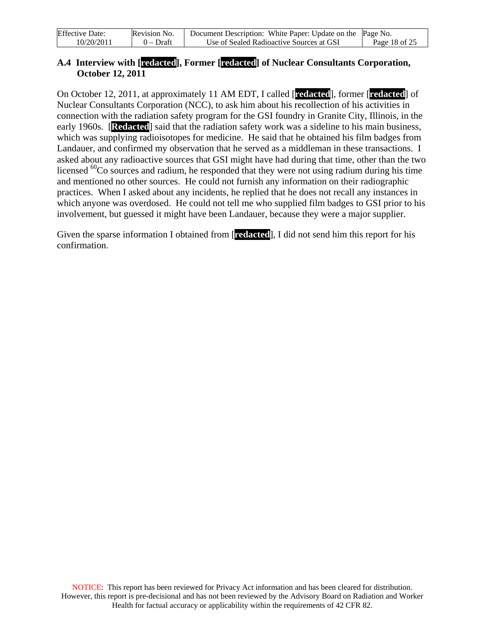| <b>Effective Date:</b> | Revision No. | Document Description: White Paper: Update on the Page No. |               |
|------------------------|--------------|-----------------------------------------------------------|---------------|
| 10/20/2011             | $0$ – Draft  | Use of Sealed Radioactive Sources at GSI                  | Page 18 of 25 |

#### **A.4 Interview with [redacted], Former [redacted] of Nuclear Consultants Corporation, October 12, 2011**

On October 12, 2011, at approximately 11 AM EDT, I called [**redacted**], former [**redacted**] of Nuclear Consultants Corporation (NCC), to ask him about his recollection of his activities in connection with the radiation safety program for the GSI foundry in Granite City, Illinois, in the early 1960s. **[Redacted]** said that the radiation safety work was a sideline to his main business, which was supplying radioisotopes for medicine. He said that he obtained his film badges from Landauer, and confirmed my observation that he served as a middleman in these transactions. I asked about any radioactive sources that GSI might have had during that time, other than the two licensed  ${}^{60}$ Co sources and radium, he responded that they were not using radium during his time and mentioned no other sources. He could not furnish any information on their radiographic practices. When I asked about any incidents, he replied that he does not recall any instances in which anyone was overdosed. He could not tell me who supplied film badges to GSI prior to his involvement, but guessed it might have been Landauer, because they were a major supplier.

Given the sparse information I obtained from [**redacted**], I did not send him this report for his confirmation.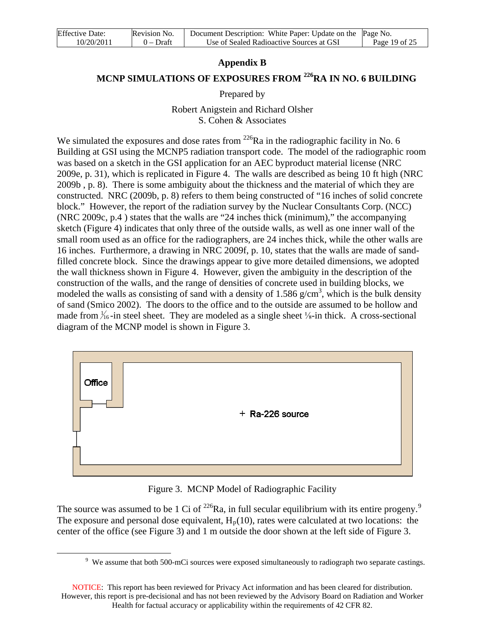| <b>Effective Date:</b> | Revision No. | Document Description: White Paper: Update on the Page No. |               |
|------------------------|--------------|-----------------------------------------------------------|---------------|
| 10/20/2011             | $0$ – Draft  | Use of Sealed Radioactive Sources at GSI                  | Page 19 of 25 |

#### **Appendix B**

## **MCNP SIMULATIONS OF EXPOSURES FROM <sup>226</sup>RA IN NO. 6 BUILDING**

Prepared by

Robert Anigstein and Richard Olsher S. Cohen & Associates

We simulated the exposures and dose rates from  $^{226}Ra$  in the radiographic facility in No. 6 Building at GSI using the MCNP5 radiation transport code. The model of the radiographic room was based on a sketch in the GSI application for an AEC byproduct material license (NRC 2009e, p. 31), which is replicated in Figure 4. The walls are described as being 10 ft high (NRC 2009b , p. 8). There is some ambiguity about the thickness and the material of which they are constructed. NRC (2009b, p. 8) refers to them being constructed of "16 inches of solid concrete block." However, the report of the radiation survey by the Nuclear Consultants Corp. (NCC) (NRC 2009c, p.4 ) states that the walls are "24 inches thick (minimum)," the accompanying sketch (Figure 4) indicates that only three of the outside walls, as well as one inner wall of the small room used as an office for the radiographers, are 24 inches thick, while the other walls are 16 inches. Furthermore, a drawing in NRC 2009f, p. 10, states that the walls are made of sandfilled concrete block. Since the drawings appear to give more detailed dimensions, we adopted the wall thickness shown in Figure 4. However, given the ambiguity in the description of the construction of the walls, and the range of densities of concrete used in building blocks, we modeled the walls as consisting of sand with a density of 1.586  $g/cm<sup>3</sup>$ , which is the bulk density of sand (Smico 2002). The doors to the office and to the outside are assumed to be hollow and made from  $\frac{1}{16}$ -in steel sheet. They are modeled as a single sheet  $\frac{1}{8}$ -in thick. A cross-sectional diagram of the MCNP model is shown in Figure 3.



Figure 3. MCNP Model of Radiographic Facility

The source was assumed to be 1 Ci of  $^{226}$ Ra, in full secular equilibrium with its entire progeny.<sup>[9](#page-18-0)</sup> The exposure and personal dose equivalent,  $H_p(10)$ , rates were calculated at two locations: the center of the office (see Figure 3) and 1 m outside the door shown at the left side of Figure 3.

<span id="page-18-0"></span> $\overline{a}$ 

<sup>&</sup>lt;sup>9</sup> We assume that both 500-mCi sources were exposed simultaneously to radiograph two separate castings.

NOTICE: This report has been reviewed for Privacy Act information and has been cleared for distribution. However, this report is pre-decisional and has not been reviewed by the Advisory Board on Radiation and Worker Health for factual accuracy or applicability within the requirements of 42 CFR 82.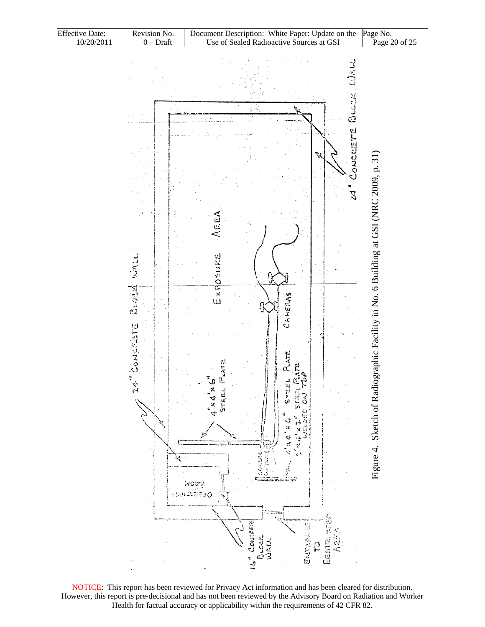| <b>Effective Date:</b> | Revision No. | Document Description: White Paper: Update on the Page No. |               |
|------------------------|--------------|-----------------------------------------------------------|---------------|
| 10/20/2011             | $0 - Dr$ aft | Use of Sealed Radioactive Sources at GSI                  | Page 20 of 25 |



NOTICE: This report has been reviewed for Privacy Act information and has been cleared for distribution. However, this report is pre-decisional and has not been reviewed by the Advisory Board on Radiation and Worker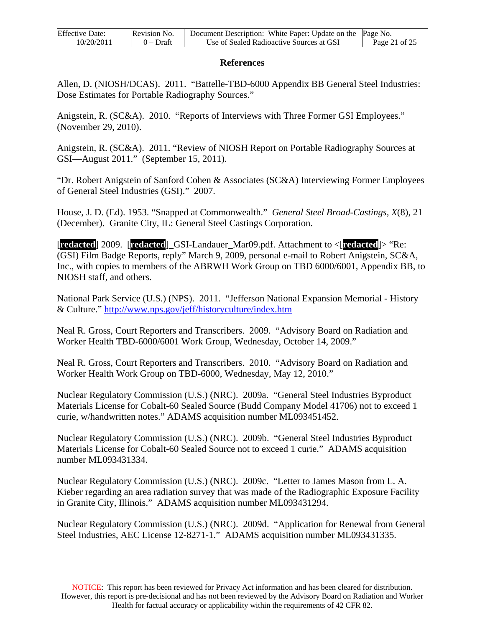| <b>Effective Date:</b> | Revision No. | Document Description: White Paper: Update on the Page No. |               |
|------------------------|--------------|-----------------------------------------------------------|---------------|
| 10/20/2011             | $0$ – Draft  | Use of Sealed Radioactive Sources at GSI                  | Page 21 of 25 |

#### **References**

Allen, D. (NIOSH/DCAS). 2011. "Battelle-TBD-6000 Appendix BB General Steel Industries: Dose Estimates for Portable Radiography Sources."

Anigstein, R. (SC&A). 2010. "Reports of Interviews with Three Former GSI Employees." (November 29, 2010).

Anigstein, R. (SC&A). 2011. "Review of NIOSH Report on Portable Radiography Sources at GSI—August 2011." (September 15, 2011).

"Dr. Robert Anigstein of Sanford Cohen & Associates (SC&A) Interviewing Former Employees of General Steel Industries (GSI)." 2007.

House, J. D. (Ed). 1953. "Snapped at Commonwealth." *General Steel Broad-Castings, X*(8), 21 (December). Granite City, IL: General Steel Castings Corporation.

[**redacted**] 2009. [**redacted**]\_GSI-Landauer\_Mar09.pdf. Attachment to <[**redacted**]> "Re: (GSI) Film Badge Reports, reply" March 9, 2009, personal e-mail to Robert Anigstein, SC&A, Inc., with copies to members of the ABRWH Work Group on TBD 6000/6001, Appendix BB, to NIOSH staff, and others.

National Park Service (U.S.) (NPS). 2011. "Jefferson National Expansion Memorial - History & Culture." <http://www.nps.gov/jeff/historyculture/index.htm>

Neal R. Gross, Court Reporters and Transcribers. 2009. "Advisory Board on Radiation and Worker Health TBD-6000/6001 Work Group, Wednesday, October 14, 2009."

Neal R. Gross, Court Reporters and Transcribers. 2010. "Advisory Board on Radiation and Worker Health Work Group on TBD-6000, Wednesday, May 12, 2010."

Nuclear Regulatory Commission (U.S.) (NRC). 2009a. "General Steel Industries Byproduct Materials License for Cobalt-60 Sealed Source (Budd Company Model 41706) not to exceed 1 curie, w/handwritten notes." ADAMS acquisition number ML093451452.

Nuclear Regulatory Commission (U.S.) (NRC). 2009b. "General Steel Industries Byproduct Materials License for Cobalt-60 Sealed Source not to exceed 1 curie." ADAMS acquisition number ML093431334.

Nuclear Regulatory Commission (U.S.) (NRC). 2009c. "Letter to James Mason from L. A. Kieber regarding an area radiation survey that was made of the Radiographic Exposure Facility in Granite City, Illinois." ADAMS acquisition number ML093431294.

Nuclear Regulatory Commission (U.S.) (NRC). 2009d. "Application for Renewal from General Steel Industries, AEC License 12-8271-1." ADAMS acquisition number ML093431335.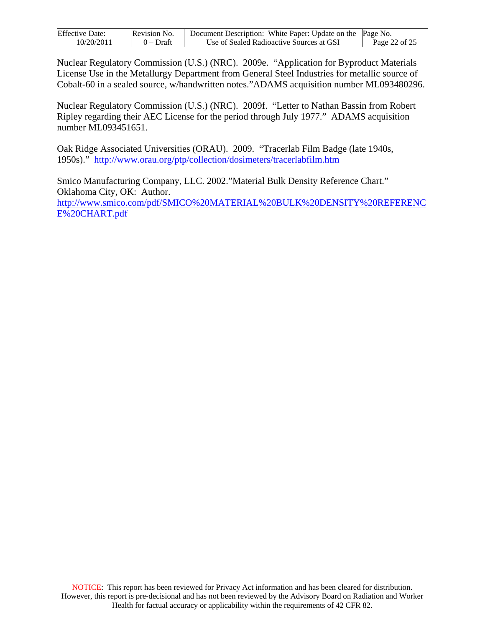| <b>Effective Date:</b> | Revision No. | Document Description: White Paper: Update on the Page No. |               |
|------------------------|--------------|-----------------------------------------------------------|---------------|
| 10/20/2011             | $0$ – Draft  | Use of Sealed Radioactive Sources at GSI                  | Page 22 of 25 |

Nuclear Regulatory Commission (U.S.) (NRC). 2009e. "Application for Byproduct Materials License Use in the Metallurgy Department from General Steel Industries for metallic source of Cobalt-60 in a sealed source, w/handwritten notes."ADAMS acquisition number ML093480296.

Nuclear Regulatory Commission (U.S.) (NRC). 2009f. "Letter to Nathan Bassin from Robert Ripley regarding their AEC License for the period through July 1977." ADAMS acquisition number ML093451651.

Oak Ridge Associated Universities (ORAU). 2009. "Tracerlab Film Badge (late 1940s, 1950s)." <http://www.orau.org/ptp/collection/dosimeters/tracerlabfilm.htm>

Smico Manufacturing Company, LLC. 2002."Material Bulk Density Reference Chart." Oklahoma City, OK: Author. [http://www.smico.com/pdf/SMICO%20MATERIAL%20BULK%20DENSITY%20REFERENC](http://www.smico.com/pdf/SMICO%20MATERIAL%20BULK%20DENSITY%20REFERENCE%20CHART.pdf) [E%20CHART.pdf](http://www.smico.com/pdf/SMICO%20MATERIAL%20BULK%20DENSITY%20REFERENCE%20CHART.pdf)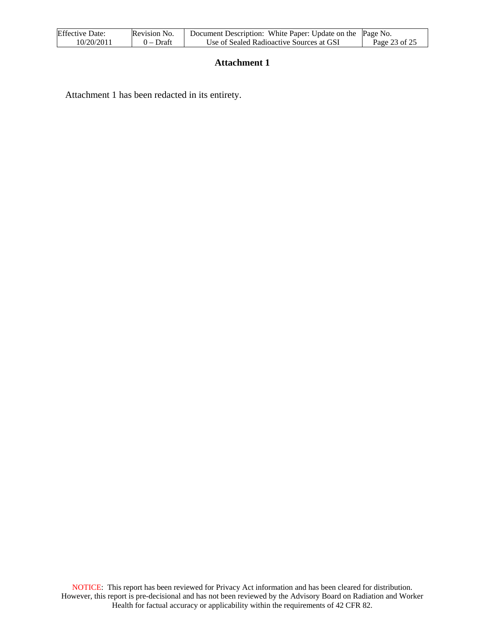| <b>Effective Date:</b> | Revision No. | Document Description: White Paper: Update on the Page No. |               |
|------------------------|--------------|-----------------------------------------------------------|---------------|
| 10/20/2011             | $0$ – Draft  | Use of Sealed Radioactive Sources at GSI                  | Page 23 of 25 |

#### **Attachment 1**

Attachment 1 has been redacted in its entirety.

NOTICE: This report has been reviewed for Privacy Act information and has been cleared for distribution. However, this report is pre-decisional and has not been reviewed by the Advisory Board on Radiation and Worker Health for factual accuracy or applicability within the requirements of 42 CFR 82.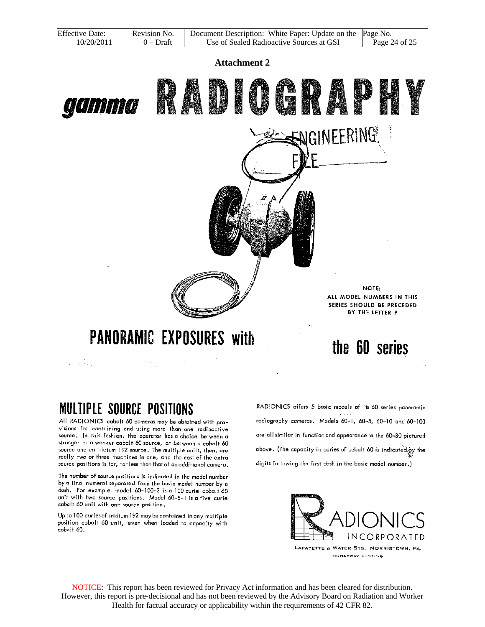| <b>Effective Date:</b> | Revision No. | Document Description: White Paper: Update on the Page No. |               |
|------------------------|--------------|-----------------------------------------------------------|---------------|
| 10/20/2011             | $0$ – Draft  | Use of Sealed Radioactive Sources at GSI                  | Page 24 of 25 |

**Attachment 2** 

NGINEERING

# **PANORAMIC EXPOSURES with** 第14条例 アイディー Service Service

**MULTIPLE SOURCE POSITIONS** 

gamma

All RADIONICS cobalt 60 cameras may be obtained with provisions for containing and using more than one radioactive source. In this fashion, the operator has a choice between a stranger or a weaker cobalt 60 source, or between a cobalt 60 source and an iridium 192 source. The multiple units, then, are really two or three machines in one, and the cost of the extra source positions is far, far less than that of an additional camera.

The number of source positions is indicated in the model number by a final numeral separated from the basic model number by a dash. For example, model 60-100-2 is a 100 curie cobalt 60 unit with two source positions. Model 60-5-1 is a five curie cobalt 60 unit with one source position.

Up to 100 curies of iridium 192 may be contained in any multiple position cobalt 60 unit, even when loaded to capacity with cobalt 60.

NOTE: ALL MODEL NUMBERS IN THIS SERIES SHOULD BE PRECEDED BY THE LETTER P

**ANDRE** 

the 60 series

RADIONICS offers 5 basic models of its 60 series panoromic radiagraphy cameras, Models 60-1, 60-5, 60-10 and 60-100 are all similar in function and appearance to the 60-30 pictured above. (The capacity in curies of cobalt 60 is indicated by the digits following the first dash in the basic model number.)



NOTICE: This report has been reviewed for Privacy Act information and has been cleared for distribution. However, this report is pre-decisional and has not been reviewed by the Advisory Board on Radiation and Worker Health for factual accuracy or applicability within the requirements of 42 CFR 82.